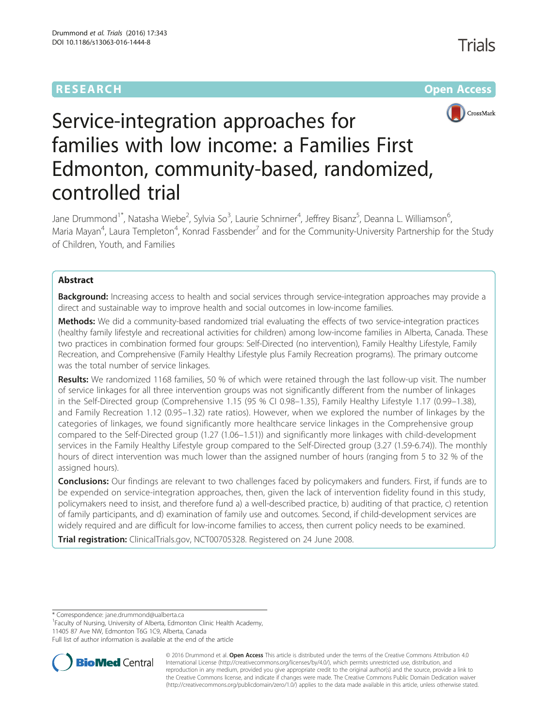# **RESEARCH CHE Open Access**



# Service-integration approaches for families with low income: a Families First Edmonton, community-based, randomized, controlled trial

Jane Drummond<sup>1\*</sup>, Natasha Wiebe<sup>2</sup>, Sylvia So<sup>3</sup>, Laurie Schnirner<sup>4</sup>, Jeffrey Bisanz<sup>5</sup>, Deanna L. Williamson<sup>6</sup> , Maria Mayan<sup>4</sup>, Laura Templeton<sup>4</sup>, Konrad Fassbender<sup>7</sup> and for the Community-University Partnership for the Study of Children, Youth, and Families

# Abstract

**Background:** Increasing access to health and social services through service-integration approaches may provide a direct and sustainable way to improve health and social outcomes in low-income families.

Methods: We did a community-based randomized trial evaluating the effects of two service-integration practices (healthy family lifestyle and recreational activities for children) among low-income families in Alberta, Canada. These two practices in combination formed four groups: Self-Directed (no intervention), Family Healthy Lifestyle, Family Recreation, and Comprehensive (Family Healthy Lifestyle plus Family Recreation programs). The primary outcome was the total number of service linkages.

Results: We randomized 1168 families, 50 % of which were retained through the last follow-up visit. The number of service linkages for all three intervention groups was not significantly different from the number of linkages in the Self-Directed group (Comprehensive 1.15 (95 % CI 0.98–1.35), Family Healthy Lifestyle 1.17 (0.99–1.38), and Family Recreation 1.12 (0.95–1.32) rate ratios). However, when we explored the number of linkages by the categories of linkages, we found significantly more healthcare service linkages in the Comprehensive group compared to the Self-Directed group (1.27 (1.06–1.51)) and significantly more linkages with child-development services in the Family Healthy Lifestyle group compared to the Self-Directed group (3.27 (1.59-6.74)). The monthly hours of direct intervention was much lower than the assigned number of hours (ranging from 5 to 32 % of the assigned hours).

**Conclusions:** Our findings are relevant to two challenges faced by policymakers and funders. First, if funds are to be expended on service-integration approaches, then, given the lack of intervention fidelity found in this study, policymakers need to insist, and therefore fund a) a well-described practice, b) auditing of that practice, c) retention of family participants, and d) examination of family use and outcomes. Second, if child-development services are widely required and are difficult for low-income families to access, then current policy needs to be examined.

Trial registration: ClinicalTrials.gov[, NCT00705328](https://clinicaltrials.gov/ct2/show/NCT00705328?term=NCT00705328&rank=1). Registered on 24 June 2008.

<sup>1</sup> Faculty of Nursing, University of Alberta, Edmonton Clinic Health Academy,

11405 87 Ave NW, Edmonton T6G 1C9, Alberta, Canada

Full list of author information is available at the end of the article



© 2016 Drummond et al. Open Access This article is distributed under the terms of the Creative Commons Attribution 4.0 International License [\(http://creativecommons.org/licenses/by/4.0/](http://creativecommons.org/licenses/by/4.0/)), which permits unrestricted use, distribution, and reproduction in any medium, provided you give appropriate credit to the original author(s) and the source, provide a link to the Creative Commons license, and indicate if changes were made. The Creative Commons Public Domain Dedication waiver [\(http://creativecommons.org/publicdomain/zero/1.0/](http://creativecommons.org/publicdomain/zero/1.0/)) applies to the data made available in this article, unless otherwise stated.

<sup>\*</sup> Correspondence: [jane.drummond@ualberta.ca](mailto:jane.drummond@ualberta.ca) <sup>1</sup>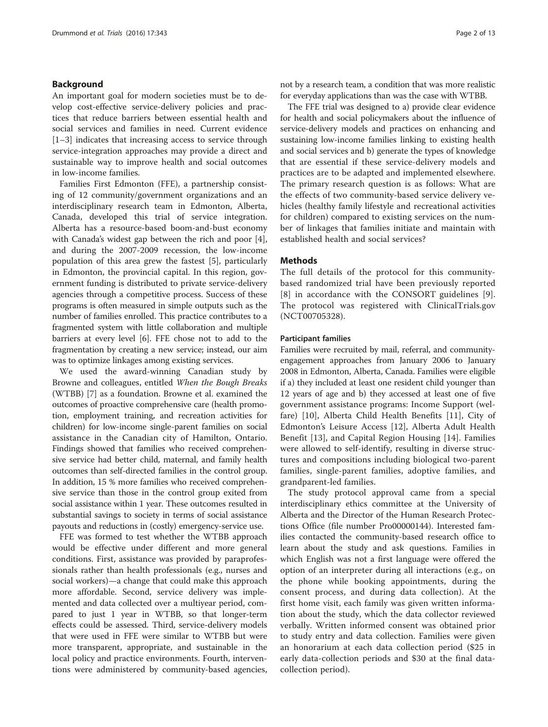## Background

An important goal for modern societies must be to develop cost-effective service-delivery policies and practices that reduce barriers between essential health and social services and families in need. Current evidence [[1](#page-11-0)–[3\]](#page-11-0) indicates that increasing access to service through service-integration approaches may provide a direct and sustainable way to improve health and social outcomes in low-income families.

Families First Edmonton (FFE), a partnership consisting of 12 community/government organizations and an interdisciplinary research team in Edmonton, Alberta, Canada, developed this trial of service integration. Alberta has a resource-based boom-and-bust economy with Canada's widest gap between the rich and poor [\[4](#page-11-0)], and during the 2007-2009 recession, the low-income population of this area grew the fastest [[5\]](#page-11-0), particularly in Edmonton, the provincial capital. In this region, government funding is distributed to private service-delivery agencies through a competitive process. Success of these programs is often measured in simple outputs such as the number of families enrolled. This practice contributes to a fragmented system with little collaboration and multiple barriers at every level [[6](#page-11-0)]. FFE chose not to add to the fragmentation by creating a new service; instead, our aim was to optimize linkages among existing services.

We used the award-winning Canadian study by Browne and colleagues, entitled When the Bough Breaks (WTBB) [[7](#page-11-0)] as a foundation. Browne et al. examined the outcomes of proactive comprehensive care (health promotion, employment training, and recreation activities for children) for low-income single-parent families on social assistance in the Canadian city of Hamilton, Ontario. Findings showed that families who received comprehensive service had better child, maternal, and family health outcomes than self-directed families in the control group. In addition, 15 % more families who received comprehensive service than those in the control group exited from social assistance within 1 year. These outcomes resulted in substantial savings to society in terms of social assistance payouts and reductions in (costly) emergency-service use.

FFE was formed to test whether the WTBB approach would be effective under different and more general conditions. First, assistance was provided by paraprofessionals rather than health professionals (e.g., nurses and social workers)—a change that could make this approach more affordable. Second, service delivery was implemented and data collected over a multiyear period, compared to just 1 year in WTBB, so that longer-term effects could be assessed. Third, service-delivery models that were used in FFE were similar to WTBB but were more transparent, appropriate, and sustainable in the local policy and practice environments. Fourth, interventions were administered by community-based agencies, not by a research team, a condition that was more realistic for everyday applications than was the case with WTBB.

The FFE trial was designed to a) provide clear evidence for health and social policymakers about the influence of service-delivery models and practices on enhancing and sustaining low-income families linking to existing health and social services and b) generate the types of knowledge that are essential if these service-delivery models and practices are to be adapted and implemented elsewhere. The primary research question is as follows: What are the effects of two community-based service delivery vehicles (healthy family lifestyle and recreational activities for children) compared to existing services on the number of linkages that families initiate and maintain with established health and social services?

## Methods

The full details of the protocol for this communitybased randomized trial have been previously reported [[8](#page-11-0)] in accordance with the CONSORT guidelines [[9](#page-11-0)]. The protocol was registered with ClinicalTrials.gov (NCT00705328).

#### Participant families

Families were recruited by mail, referral, and communityengagement approaches from January 2006 to January 2008 in Edmonton, Alberta, Canada. Families were eligible if a) they included at least one resident child younger than 12 years of age and b) they accessed at least one of five government assistance programs: Income Support (welfare) [[10\]](#page-11-0), Alberta Child Health Benefits [[11\]](#page-11-0), City of Edmonton's Leisure Access [\[12](#page-11-0)], Alberta Adult Health Benefit [[13\]](#page-11-0), and Capital Region Housing [[14\]](#page-11-0). Families were allowed to self-identify, resulting in diverse structures and compositions including biological two-parent families, single-parent families, adoptive families, and grandparent-led families.

The study protocol approval came from a special interdisciplinary ethics committee at the University of Alberta and the Director of the Human Research Protections Office (file number Pro00000144). Interested families contacted the community-based research office to learn about the study and ask questions. Families in which English was not a first language were offered the option of an interpreter during all interactions (e.g., on the phone while booking appointments, during the consent process, and during data collection). At the first home visit, each family was given written information about the study, which the data collector reviewed verbally. Written informed consent was obtained prior to study entry and data collection. Families were given an honorarium at each data collection period (\$25 in early data-collection periods and \$30 at the final datacollection period).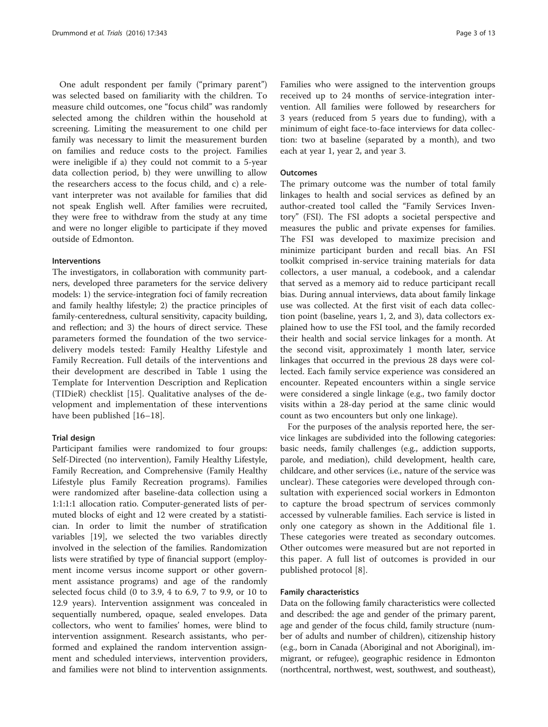One adult respondent per family ("primary parent") was selected based on familiarity with the children. To measure child outcomes, one "focus child" was randomly selected among the children within the household at screening. Limiting the measurement to one child per family was necessary to limit the measurement burden on families and reduce costs to the project. Families were ineligible if a) they could not commit to a 5-year data collection period, b) they were unwilling to allow the researchers access to the focus child, and c) a relevant interpreter was not available for families that did not speak English well. After families were recruited, they were free to withdraw from the study at any time and were no longer eligible to participate if they moved outside of Edmonton.

#### Interventions

The investigators, in collaboration with community partners, developed three parameters for the service delivery models: 1) the service-integration foci of family recreation and family healthy lifestyle; 2) the practice principles of family-centeredness, cultural sensitivity, capacity building, and reflection; and 3) the hours of direct service. These parameters formed the foundation of the two servicedelivery models tested: Family Healthy Lifestyle and Family Recreation. Full details of the interventions and their development are described in Table [1](#page-3-0) using the Template for Intervention Description and Replication (TIDieR) checklist [\[15](#page-11-0)]. Qualitative analyses of the development and implementation of these interventions have been published [[16](#page-11-0)–[18\]](#page-11-0).

#### Trial design

Participant families were randomized to four groups: Self-Directed (no intervention), Family Healthy Lifestyle, Family Recreation, and Comprehensive (Family Healthy Lifestyle plus Family Recreation programs). Families were randomized after baseline-data collection using a 1:1:1:1 allocation ratio. Computer-generated lists of permuted blocks of eight and 12 were created by a statistician. In order to limit the number of stratification variables [\[19](#page-11-0)], we selected the two variables directly involved in the selection of the families. Randomization lists were stratified by type of financial support (employment income versus income support or other government assistance programs) and age of the randomly selected focus child (0 to 3.9, 4 to 6.9, 7 to 9.9, or 10 to 12.9 years). Intervention assignment was concealed in sequentially numbered, opaque, sealed envelopes. Data collectors, who went to families' homes, were blind to intervention assignment. Research assistants, who performed and explained the random intervention assignment and scheduled interviews, intervention providers, and families were not blind to intervention assignments.

Families who were assigned to the intervention groups received up to 24 months of service-integration intervention. All families were followed by researchers for 3 years (reduced from 5 years due to funding), with a minimum of eight face-to-face interviews for data collection: two at baseline (separated by a month), and two each at year 1, year 2, and year 3.

#### **Outcomes**

The primary outcome was the number of total family linkages to health and social services as defined by an author-created tool called the "Family Services Inventory" (FSI). The FSI adopts a societal perspective and measures the public and private expenses for families. The FSI was developed to maximize precision and minimize participant burden and recall bias. An FSI toolkit comprised in-service training materials for data collectors, a user manual, a codebook, and a calendar that served as a memory aid to reduce participant recall bias. During annual interviews, data about family linkage use was collected. At the first visit of each data collection point (baseline, years 1, 2, and 3), data collectors explained how to use the FSI tool, and the family recorded their health and social service linkages for a month. At the second visit, approximately 1 month later, service linkages that occurred in the previous 28 days were collected. Each family service experience was considered an encounter. Repeated encounters within a single service were considered a single linkage (e.g., two family doctor visits within a 28-day period at the same clinic would count as two encounters but only one linkage).

For the purposes of the analysis reported here, the service linkages are subdivided into the following categories: basic needs, family challenges (e.g., addiction supports, parole, and mediation), child development, health care, childcare, and other services (i.e., nature of the service was unclear). These categories were developed through consultation with experienced social workers in Edmonton to capture the broad spectrum of services commonly accessed by vulnerable families. Each service is listed in only one category as shown in the Additional file [1](#page-11-0). These categories were treated as secondary outcomes. Other outcomes were measured but are not reported in this paper. A full list of outcomes is provided in our published protocol [\[8](#page-11-0)].

#### Family characteristics

Data on the following family characteristics were collected and described: the age and gender of the primary parent, age and gender of the focus child, family structure (number of adults and number of children), citizenship history (e.g., born in Canada (Aboriginal and not Aboriginal), immigrant, or refugee), geographic residence in Edmonton (northcentral, northwest, west, southwest, and southeast),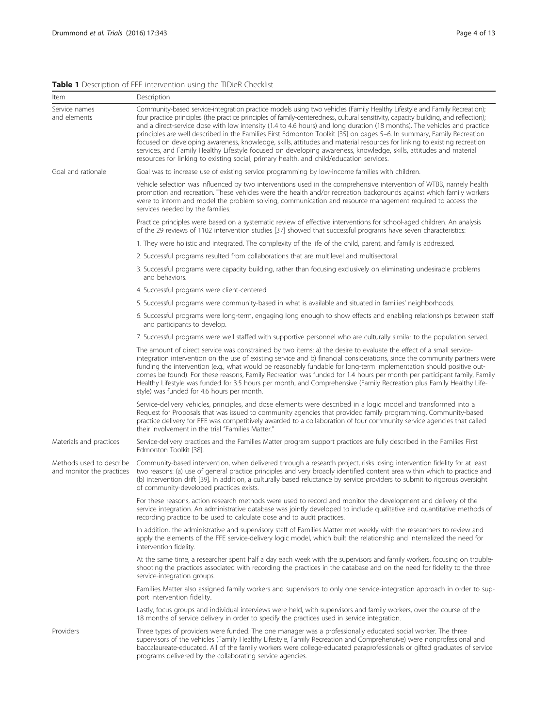# <span id="page-3-0"></span>Table 1 Description of FFE intervention using the TIDieR Checklist

| Item                                                  | Description                                                                                                                                                                                                                                                                                                                                                                                                                                                                                                                                                                                                                                                                                                                                                                                                                                                     |
|-------------------------------------------------------|-----------------------------------------------------------------------------------------------------------------------------------------------------------------------------------------------------------------------------------------------------------------------------------------------------------------------------------------------------------------------------------------------------------------------------------------------------------------------------------------------------------------------------------------------------------------------------------------------------------------------------------------------------------------------------------------------------------------------------------------------------------------------------------------------------------------------------------------------------------------|
| Service names<br>and elements                         | Community-based service-integration practice models using two vehicles (Family Healthy Lifestyle and Family Recreation);<br>four practice principles (the practice principles of family-centeredness, cultural sensitivity, capacity building, and reflection);<br>and a direct-service dose with low intensity (1.4 to 4.6 hours) and long duration (18 months). The vehicles and practice<br>principles are well described in the Families First Edmonton Toolkit [35] on pages 5-6. In summary, Family Recreation<br>focused on developing awareness, knowledge, skills, attitudes and material resources for linking to existing recreation<br>services, and Family Healthy Lifestyle focused on developing awareness, knowledge, skills, attitudes and material<br>resources for linking to existing social, primary health, and child/education services. |
| Goal and rationale                                    | Goal was to increase use of existing service programming by low-income families with children.                                                                                                                                                                                                                                                                                                                                                                                                                                                                                                                                                                                                                                                                                                                                                                  |
|                                                       | Vehicle selection was influenced by two interventions used in the comprehensive intervention of WTBB, namely health<br>promotion and recreation. These vehicles were the health and/or recreation backgrounds against which family workers<br>were to inform and model the problem solving, communication and resource management required to access the<br>services needed by the families.                                                                                                                                                                                                                                                                                                                                                                                                                                                                    |
|                                                       | Practice principles were based on a systematic review of effective interventions for school-aged children. An analysis<br>of the 29 reviews of 1102 intervention studies [37] showed that successful programs have seven characteristics:                                                                                                                                                                                                                                                                                                                                                                                                                                                                                                                                                                                                                       |
|                                                       | 1. They were holistic and integrated. The complexity of the life of the child, parent, and family is addressed.                                                                                                                                                                                                                                                                                                                                                                                                                                                                                                                                                                                                                                                                                                                                                 |
|                                                       | 2. Successful programs resulted from collaborations that are multilevel and multisectoral.                                                                                                                                                                                                                                                                                                                                                                                                                                                                                                                                                                                                                                                                                                                                                                      |
|                                                       | 3. Successful programs were capacity building, rather than focusing exclusively on eliminating undesirable problems<br>and behaviors.                                                                                                                                                                                                                                                                                                                                                                                                                                                                                                                                                                                                                                                                                                                           |
|                                                       | 4. Successful programs were client-centered.                                                                                                                                                                                                                                                                                                                                                                                                                                                                                                                                                                                                                                                                                                                                                                                                                    |
|                                                       | 5. Successful programs were community-based in what is available and situated in families' neighborhoods.                                                                                                                                                                                                                                                                                                                                                                                                                                                                                                                                                                                                                                                                                                                                                       |
|                                                       | 6. Successful programs were long-term, engaging long enough to show effects and enabling relationships between staff<br>and participants to develop.                                                                                                                                                                                                                                                                                                                                                                                                                                                                                                                                                                                                                                                                                                            |
|                                                       | 7. Successful programs were well staffed with supportive personnel who are culturally similar to the population served.                                                                                                                                                                                                                                                                                                                                                                                                                                                                                                                                                                                                                                                                                                                                         |
|                                                       | The amount of direct service was constrained by two items: a) the desire to evaluate the effect of a small service-<br>integration intervention on the use of existing service and b) financial considerations, since the community partners were<br>funding the intervention (e.g., what would be reasonably fundable for long-term implementation should positive out-<br>comes be found). For these reasons, Family Recreation was funded for 1.4 hours per month per participant family, Family<br>Healthy Lifestyle was funded for 3.5 hours per month, and Comprehensive (Family Recreation plus Family Healthy Life-<br>style) was funded for 4.6 hours per month.                                                                                                                                                                                       |
|                                                       | Service-delivery vehicles, principles, and dose elements were described in a logic model and transformed into a<br>Request for Proposals that was issued to community agencies that provided family programming. Community-based<br>practice delivery for FFE was competitively awarded to a collaboration of four community service agencies that called<br>their involvement in the trial "Families Matter."                                                                                                                                                                                                                                                                                                                                                                                                                                                  |
| Materials and practices                               | Service-delivery practices and the Families Matter program support practices are fully described in the Families First<br>Edmonton Toolkit [38].                                                                                                                                                                                                                                                                                                                                                                                                                                                                                                                                                                                                                                                                                                                |
| Methods used to describe<br>and monitor the practices | Community-based intervention, when delivered through a research project, risks losing intervention fidelity for at least<br>two reasons: (a) use of general practice principles and very broadly identified content area within which to practice and<br>(b) intervention drift [39]. In addition, a culturally based reluctance by service providers to submit to rigorous oversight<br>of community-developed practices exists.                                                                                                                                                                                                                                                                                                                                                                                                                               |
|                                                       | For these reasons, action research methods were used to record and monitor the development and delivery of the<br>service integration. An administrative database was jointly developed to include qualitative and quantitative methods of<br>recording practice to be used to calculate dose and to audit practices.                                                                                                                                                                                                                                                                                                                                                                                                                                                                                                                                           |
|                                                       | In addition, the administrative and supervisory staff of Families Matter met weekly with the researchers to review and<br>apply the elements of the FFE service-delivery logic model, which built the relationship and internalized the need for<br>intervention fidelity.                                                                                                                                                                                                                                                                                                                                                                                                                                                                                                                                                                                      |
|                                                       | At the same time, a researcher spent half a day each week with the supervisors and family workers, focusing on trouble-<br>shooting the practices associated with recording the practices in the database and on the need for fidelity to the three<br>service-integration groups.                                                                                                                                                                                                                                                                                                                                                                                                                                                                                                                                                                              |
|                                                       | Families Matter also assigned family workers and supervisors to only one service-integration approach in order to sup-<br>port intervention fidelity.                                                                                                                                                                                                                                                                                                                                                                                                                                                                                                                                                                                                                                                                                                           |
|                                                       | Lastly, focus groups and individual interviews were held, with supervisors and family workers, over the course of the<br>18 months of service delivery in order to specify the practices used in service integration.                                                                                                                                                                                                                                                                                                                                                                                                                                                                                                                                                                                                                                           |
| Providers                                             | Three types of providers were funded. The one manager was a professionally educated social worker. The three<br>supervisors of the vehicles (Family Healthy Lifestyle, Family Recreation and Comprehensive) were nonprofessional and<br>baccalaureate-educated. All of the family workers were college-educated paraprofessionals or gifted graduates of service<br>programs delivered by the collaborating service agencies.                                                                                                                                                                                                                                                                                                                                                                                                                                   |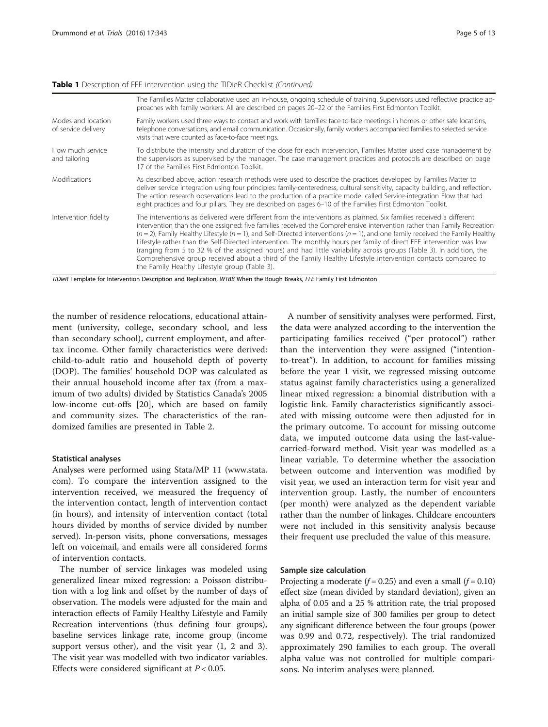#### Table 1 Description of FFE intervention using the TIDieR Checklist (Continued)

|                                           | The Families Matter collaborative used an in-house, ongoing schedule of training. Supervisors used reflective practice ap-<br>proaches with family workers. All are described on pages 20-22 of the Families First Edmonton Toolkit.                                                                                                                                                                                                                                                                                                                                                                                                                                                                                                                                                                      |
|-------------------------------------------|-----------------------------------------------------------------------------------------------------------------------------------------------------------------------------------------------------------------------------------------------------------------------------------------------------------------------------------------------------------------------------------------------------------------------------------------------------------------------------------------------------------------------------------------------------------------------------------------------------------------------------------------------------------------------------------------------------------------------------------------------------------------------------------------------------------|
| Modes and location<br>of service delivery | Family workers used three ways to contact and work with families: face-to-face meetings in homes or other safe locations,<br>telephone conversations, and email communication. Occasionally, family workers accompanied families to selected service<br>visits that were counted as face-to-face meetings.                                                                                                                                                                                                                                                                                                                                                                                                                                                                                                |
| How much service<br>and tailoring         | To distribute the intensity and duration of the dose for each intervention, Families Matter used case management by<br>the supervisors as supervised by the manager. The case management practices and protocols are described on page<br>17 of the Families First Edmonton Toolkit.                                                                                                                                                                                                                                                                                                                                                                                                                                                                                                                      |
| <b>Modifications</b>                      | As described above, action research methods were used to describe the practices developed by Families Matter to<br>deliver service integration using four principles: family-centeredness, cultural sensitivity, capacity building, and reflection.<br>The action research observations lead to the production of a practice model called Service-integration Flow that had<br>eight practices and four pillars. They are described on pages 6-10 of the Families First Edmonton Toolkit.                                                                                                                                                                                                                                                                                                                 |
| Intervention fidelity                     | The interventions as delivered were different from the interventions as planned. Six families received a different<br>intervention than the one assigned: five families received the Comprehensive intervention rather than Family Recreation<br>$(n = 2)$ , Family Healthy Lifestyle $(n = 1)$ , and Self-Directed interventions $(n = 1)$ , and one family received the Family Healthy<br>Lifestyle rather than the Self-Directed intervention. The monthly hours per family of direct FFE intervention was low<br>(ranging from 5 to 32 % of the assigned hours) and had little variability across groups (Table 3). In addition, the<br>Comprehensive group received about a third of the Family Healthy Lifestyle intervention contacts compared to<br>the Family Healthy Lifestyle group (Table 3). |

TIDieR Template for Intervention Description and Replication, WTBB When the Bough Breaks, FFE Family First Edmonton

the number of residence relocations, educational attainment (university, college, secondary school, and less than secondary school), current employment, and aftertax income. Other family characteristics were derived: child-to-adult ratio and household depth of poverty (DOP). The families' household DOP was calculated as their annual household income after tax (from a maximum of two adults) divided by Statistics Canada's 2005 low-income cut-offs [\[20](#page-11-0)], which are based on family and community sizes. The characteristics of the randomized families are presented in Table [2.](#page-5-0)

#### Statistical analyses

Analyses were performed using Stata/MP 11 ([www.stata.](http://www.stata.com/) [com](http://www.stata.com/)). To compare the intervention assigned to the intervention received, we measured the frequency of the intervention contact, length of intervention contact (in hours), and intensity of intervention contact (total hours divided by months of service divided by number served). In-person visits, phone conversations, messages left on voicemail, and emails were all considered forms of intervention contacts.

The number of service linkages was modeled using generalized linear mixed regression: a Poisson distribution with a log link and offset by the number of days of observation. The models were adjusted for the main and interaction effects of Family Healthy Lifestyle and Family Recreation interventions (thus defining four groups), baseline services linkage rate, income group (income support versus other), and the visit year (1, 2 and 3). The visit year was modelled with two indicator variables. Effects were considered significant at  $P < 0.05$ .

A number of sensitivity analyses were performed. First, the data were analyzed according to the intervention the participating families received ("per protocol") rather than the intervention they were assigned ("intentionto-treat"). In addition, to account for families missing before the year 1 visit, we regressed missing outcome status against family characteristics using a generalized linear mixed regression: a binomial distribution with a logistic link. Family characteristics significantly associated with missing outcome were then adjusted for in the primary outcome. To account for missing outcome data, we imputed outcome data using the last-valuecarried-forward method. Visit year was modelled as a linear variable. To determine whether the association between outcome and intervention was modified by visit year, we used an interaction term for visit year and intervention group. Lastly, the number of encounters (per month) were analyzed as the dependent variable rather than the number of linkages. Childcare encounters were not included in this sensitivity analysis because their frequent use precluded the value of this measure.

#### Sample size calculation

Projecting a moderate  $(f = 0.25)$  and even a small  $(f = 0.10)$ effect size (mean divided by standard deviation), given an alpha of 0.05 and a 25 % attrition rate, the trial proposed an initial sample size of 300 families per group to detect any significant difference between the four groups (power was 0.99 and 0.72, respectively). The trial randomized approximately 290 families to each group. The overall alpha value was not controlled for multiple comparisons. No interim analyses were planned.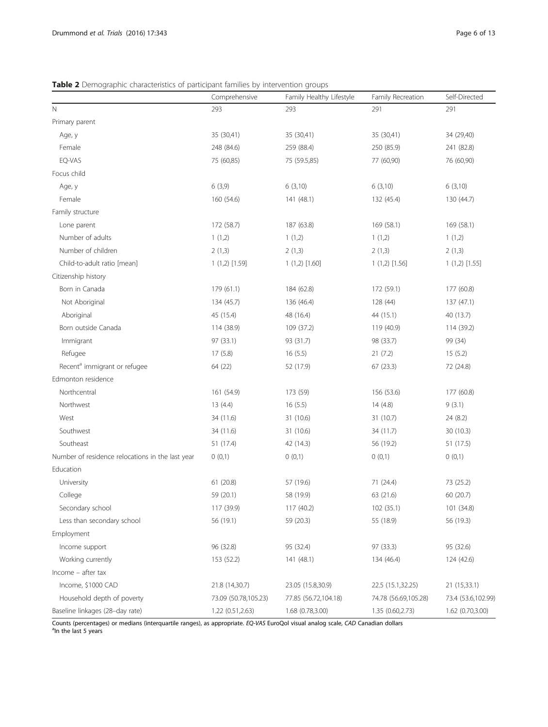## <span id="page-5-0"></span>Table 2 Demographic characteristics of participant families by intervention groups

|                                                  | Comprehensive        | Family Healthy Lifestyle | Family Recreation    | Self-Directed      |
|--------------------------------------------------|----------------------|--------------------------|----------------------|--------------------|
| $\mathbb N$                                      | 293                  | 293                      | 291                  | 291                |
| Primary parent                                   |                      |                          |                      |                    |
| Age, y                                           | 35 (30,41)           | 35 (30,41)               | 35 (30,41)           | 34 (29,40)         |
| Female                                           | 248 (84.6)           | 259 (88.4)               | 250 (85.9)           | 241 (82.8)         |
| EQ-VAS                                           | 75 (60,85)           | 75 (59.5,85)             | 77 (60,90)           | 76 (60,90)         |
| Focus child                                      |                      |                          |                      |                    |
| Age, y                                           | 6(3,9)               | 6(3,10)                  | 6(3,10)              | 6(3,10)            |
| Female                                           | 160 (54.6)           | 141 (48.1)               | 132 (45.4)           | 130 (44.7)         |
| Family structure                                 |                      |                          |                      |                    |
| Lone parent                                      | 172 (58.7)           | 187 (63.8)               | 169 (58.1)           | 169 (58.1)         |
| Number of adults                                 | 1(1,2)               | 1(1,2)                   | 1(1,2)               | 1(1,2)             |
| Number of children                               | 2(1,3)               | 2(1,3)                   | 2(1,3)               | 2(1,3)             |
| Child-to-adult ratio [mean]                      | $1(1,2)$ [1.59]      | $1(1,2)$ [1.60]          | $1(1,2)$ [1.56]      | $1(1,2)$ [1.55]    |
| Citizenship history                              |                      |                          |                      |                    |
| Born in Canada                                   | 179 (61.1)           | 184 (62.8)               | 172 (59.1)           | 177 (60.8)         |
| Not Aboriginal                                   | 134 (45.7)           | 136 (46.4)               | 128 (44)             | 137(47.1)          |
| Aboriginal                                       | 45 (15.4)            | 48 (16.4)                | 44 (15.1)            | 40 (13.7)          |
| Born outside Canada                              | 114 (38.9)           | 109 (37.2)               | 119 (40.9)           | 114 (39.2)         |
| Immigrant                                        | 97 (33.1)            | 93 (31.7)                | 98 (33.7)            | 99 (34)            |
| Refugee                                          | 17(5.8)              | 16(5.5)                  | 21(7.2)              | 15(5.2)            |
| Recent <sup>a</sup> immigrant or refugee         | 64 (22)              | 52 (17.9)                | 67(23.3)             | 72 (24.8)          |
| Edmonton residence                               |                      |                          |                      |                    |
| Northcentral                                     | 161 (54.9)           | 173 (59)                 | 156 (53.6)           | 177 (60.8)         |
| Northwest                                        | 13(4.4)              | 16(5.5)                  | 14(4.8)              | 9(3.1)             |
| West                                             | 34 (11.6)            | 31 (10.6)                | 31 (10.7)            | 24 (8.2)           |
| Southwest                                        | 34 (11.6)            | 31 (10.6)                | 34 (11.7)            | 30(10.3)           |
| Southeast                                        | 51 (17.4)            | 42 (14.3)                | 56 (19.2)            | 51 (17.5)          |
| Number of residence relocations in the last year | 0(0,1)               | 0(0,1)                   | 0(0,1)               | 0(0,1)             |
| Education                                        |                      |                          |                      |                    |
| University                                       | 61(20.8)             | 57 (19.6)                | 71 (24.4)            | 73 (25.2)          |
| College                                          | 59 (20.1)            | 58 (19.9)                | 63 (21.6)            | 60 (20.7)          |
| Secondary school                                 | 117 (39.9)           | 117 (40.2)               | 102 (35.1)           | 101 (34.8)         |
| Less than secondary school                       | 56 (19.1)            | 59 (20.3)                | 55 (18.9)            | 56 (19.3)          |
| Employment                                       |                      |                          |                      |                    |
| Income support                                   | 96 (32.8)            | 95 (32.4)                | 97 (33.3)            | 95 (32.6)          |
| Working currently                                | 153 (52.2)           | 141 (48.1)               | 134 (46.4)           | 124 (42.6)         |
| Income - after tax                               |                      |                          |                      |                    |
| Income, \$1000 CAD                               | 21.8 (14,30.7)       | 23.05 (15.8,30.9)        | 22.5 (15.1,32.25)    | 21 (15,33.1)       |
| Household depth of poverty                       | 73.09 (50.78,105.23) | 77.85 (56.72,104.18)     | 74.78 (56.69,105.28) | 73.4 (53.6,102.99) |
| Baseline linkages (28-day rate)                  | 1.22 (0.51,2.63)     | 1.68 (0.78,3.00)         | 1.35 (0.60,2.73)     | 1.62 (0.70,3.00)   |

Counts (percentages) or medians (interquartile ranges), as appropriate. *EQ-VAS* EuroQol visual analog scale, CAD Canadian dollars<br><sup>a</sup>ln the last 5 years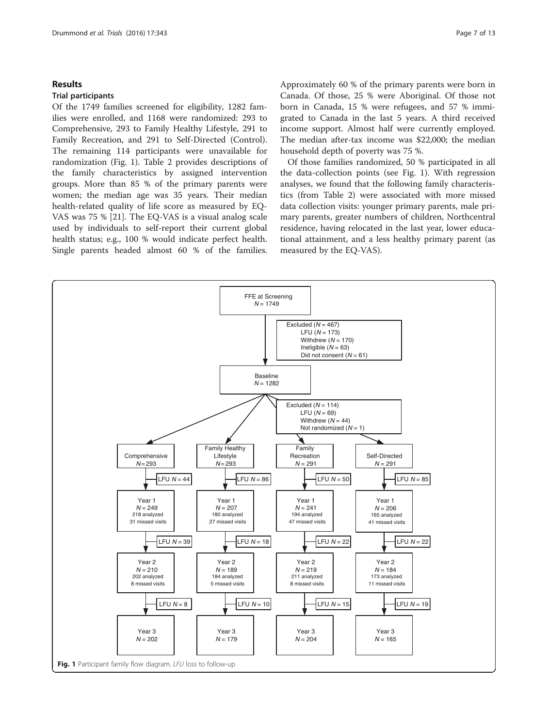#### Results

#### Trial participants

Of the 1749 families screened for eligibility, 1282 families were enrolled, and 1168 were randomized: 293 to Comprehensive, 293 to Family Healthy Lifestyle, 291 to Family Recreation, and 291 to Self-Directed (Control). The remaining 114 participants were unavailable for randomization (Fig. 1). Table [2](#page-5-0) provides descriptions of the family characteristics by assigned intervention groups. More than 85 % of the primary parents were women; the median age was 35 years. Their median health-related quality of life score as measured by EQ-VAS was 75 % [\[21](#page-11-0)]. The EQ-VAS is a visual analog scale used by individuals to self-report their current global health status; e.g., 100 % would indicate perfect health. Single parents headed almost 60 % of the families.

Approximately 60 % of the primary parents were born in Canada. Of those, 25 % were Aboriginal. Of those not born in Canada, 15 % were refugees, and 57 % immigrated to Canada in the last 5 years. A third received income support. Almost half were currently employed. The median after-tax income was \$22,000; the median household depth of poverty was 75 %.

Of those families randomized, 50 % participated in all the data-collection points (see Fig. 1). With regression analyses, we found that the following family characteristics (from Table [2](#page-5-0)) were associated with more missed data collection visits: younger primary parents, male primary parents, greater numbers of children, Northcentral residence, having relocated in the last year, lower educational attainment, and a less healthy primary parent (as measured by the EQ-VAS).

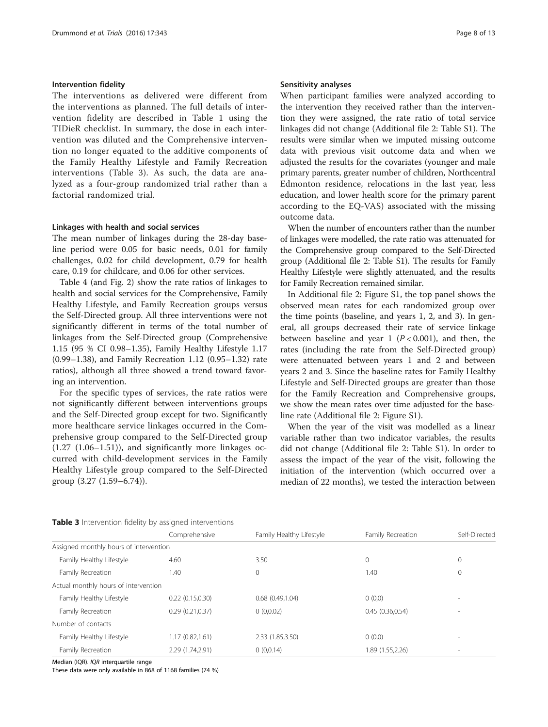## <span id="page-7-0"></span>Intervention fidelity

The interventions as delivered were different from the interventions as planned. The full details of intervention fidelity are described in Table [1](#page-3-0) using the TIDieR checklist. In summary, the dose in each intervention was diluted and the Comprehensive intervention no longer equated to the additive components of the Family Healthy Lifestyle and Family Recreation interventions (Table 3). As such, the data are analyzed as a four-group randomized trial rather than a factorial randomized trial.

#### Linkages with health and social services

The mean number of linkages during the 28-day baseline period were 0.05 for basic needs, 0.01 for family challenges, 0.02 for child development, 0.79 for health care, 0.19 for childcare, and 0.06 for other services.

Table [4](#page-8-0) (and Fig. [2\)](#page-8-0) show the rate ratios of linkages to health and social services for the Comprehensive, Family Healthy Lifestyle, and Family Recreation groups versus the Self-Directed group. All three interventions were not significantly different in terms of the total number of linkages from the Self-Directed group (Comprehensive 1.15 (95 % CI 0.98–1.35), Family Healthy Lifestyle 1.17 (0.99–1.38), and Family Recreation 1.12 (0.95–1.32) rate ratios), although all three showed a trend toward favoring an intervention.

For the specific types of services, the rate ratios were not significantly different between interventions groups and the Self-Directed group except for two. Significantly more healthcare service linkages occurred in the Comprehensive group compared to the Self-Directed group  $(1.27 \ (1.06-1.51))$ , and significantly more linkages occurred with child-development services in the Family Healthy Lifestyle group compared to the Self-Directed group (3.27 (1.59–6.74)).

## Sensitivity analyses

When participant families were analyzed according to the intervention they received rather than the intervention they were assigned, the rate ratio of total service linkages did not change (Additional file [2](#page-11-0): Table S1). The results were similar when we imputed missing outcome data with previous visit outcome data and when we adjusted the results for the covariates (younger and male primary parents, greater number of children, Northcentral Edmonton residence, relocations in the last year, less education, and lower health score for the primary parent according to the EQ-VAS) associated with the missing outcome data.

When the number of encounters rather than the number of linkages were modelled, the rate ratio was attenuated for the Comprehensive group compared to the Self-Directed group (Additional file [2](#page-11-0): Table S1). The results for Family Healthy Lifestyle were slightly attenuated, and the results for Family Recreation remained similar.

In Additional file [2](#page-11-0): Figure S1, the top panel shows the observed mean rates for each randomized group over the time points (baseline, and years 1, 2, and 3). In general, all groups decreased their rate of service linkage between baseline and year 1 ( $P < 0.001$ ), and then, the rates (including the rate from the Self-Directed group) were attenuated between years 1 and 2 and between years 2 and 3. Since the baseline rates for Family Healthy Lifestyle and Self-Directed groups are greater than those for the Family Recreation and Comprehensive groups, we show the mean rates over time adjusted for the baseline rate (Additional file [2:](#page-11-0) Figure S1).

When the year of the visit was modelled as a linear variable rather than two indicator variables, the results did not change (Additional file [2:](#page-11-0) Table S1). In order to assess the impact of the year of the visit, following the initiation of the intervention (which occurred over a median of 22 months), we tested the interaction between

|                                        | Comprehensive    | Family Healthy Lifestyle | Family Recreation | Self-Directed  |
|----------------------------------------|------------------|--------------------------|-------------------|----------------|
| Assigned monthly hours of intervention |                  |                          |                   |                |
| Family Healthy Lifestyle               | 4.60             | 3.50                     | 0                 | $\mathbf 0$    |
| Family Recreation                      | 1.40             | 0                        | 1.40              | $\mathbf 0$    |
| Actual monthly hours of intervention   |                  |                          |                   |                |
| Family Healthy Lifestyle               | 0.22(0.15,0.30)  | $0.68$ $(0.49, 1.04)$    | 0(0,0)            | -              |
| Family Recreation                      | 0.29(0.21, 0.37) | 0(0,0.02)                | 0.45(0.36, 0.54)  | $\overline{a}$ |
| Number of contacts                     |                  |                          |                   |                |
| Family Healthy Lifestyle               | 1.17(0.82, 1.61) | 2.33 (1.85,3.50)         | 0(0,0)            | $\overline{a}$ |
| Family Recreation                      | 2.29 (1.74,2.91) | 0(0,0.14)                | 1.89 (1.55,2.26)  | -              |

Median (IQR). *IQR* interquartile range

These data were only available in 868 of 1168 families (74 %)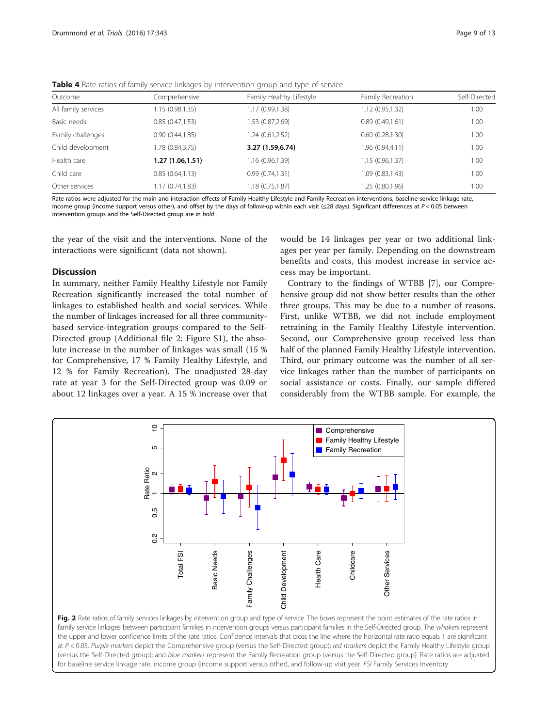| Outcome             | Comprehensive    | Family Healthy Lifestyle | Family Recreation | Self-Directed |
|---------------------|------------------|--------------------------|-------------------|---------------|
| All family services | 1.15 (0.98,1.35) | 1.17 (0.99,1.38)         | 1.12(0.95, 1.32)  | 1.00          |
| Basic needs         | 0.85(0.47,1.53)  | 1.53 (0.87,2.69)         | 0.89(0.49,1.61)   | 1.00          |
| Family challenges   | 0.90(0.44, 1.85) | 1.24(0.61, 2.52)         | 0.60(0.28, 1.30)  | 1.00          |
| Child development   | .78 (0.84,3.75)  | 3.27 (1.59,6.74)         | 1.96 (0.94,4.11)  | 1.00          |
| Health care         | 1.27 (1.06,1.51) | 1.16 (0.96,1.39)         | 1.15(0.96, 1.37)  | 1.00          |
| Child care          | 0.85(0.64, 1.13) | 0.99(0.74, 1.31)         | 1.09 (0.83,1.43)  | 1.00          |
| Other services      | 1.17 (0.74,1.83) | 1.18(0.75, 1.87)         | 1.25 (0.80,1.96)  | 1.00          |

<span id="page-8-0"></span>Table 4 Rate ratios of family service linkages by intervention group and type of service

Rate ratios were adjusted for the main and interaction effects of Family Healthy Lifestyle and Family Recreation interventions, baseline service linkage rate, income group (income support versus other), and offset by the days of follow-up within each visit  $\leq 28$  days). Significant differences at P < 0.05 between intervention groups and the Self-Directed group are in bold

the year of the visit and the interventions. None of the interactions were significant (data not shown).

#### **Discussion**

In summary, neither Family Healthy Lifestyle nor Family Recreation significantly increased the total number of linkages to established health and social services. While the number of linkages increased for all three communitybased service-integration groups compared to the Self-Directed group (Additional file [2](#page-11-0): Figure S1), the absolute increase in the number of linkages was small (15 % for Comprehensive, 17 % Family Healthy Lifestyle, and 12 % for Family Recreation). The unadjusted 28-day rate at year 3 for the Self-Directed group was 0.09 or about 12 linkages over a year. A 15 % increase over that

would be 14 linkages per year or two additional linkages per year per family. Depending on the downstream benefits and costs, this modest increase in service access may be important.

Contrary to the findings of WTBB [[7](#page-11-0)], our Comprehensive group did not show better results than the other three groups. This may be due to a number of reasons. First, unlike WTBB, we did not include employment retraining in the Family Healthy Lifestyle intervention. Second, our Comprehensive group received less than half of the planned Family Healthy Lifestyle intervention. Third, our primary outcome was the number of all service linkages rather than the number of participants on social assistance or costs. Finally, our sample differed considerably from the WTBB sample. For example, the



Fig. 2 Rate ratios of family services linkages by intervention group and type of service. The boxes represent the point estimates of the rate ratios in family service linkages between participant families in intervention groups versus participant families in the Self-Directed group. The whiskers represent the upper and lower confidence limits of the rate ratios. Confidence intervals that cross the line where the horizontal rate ratio equals 1 are significant at P < 0.05. Purple markers depict the Comprehensive group (versus the Self-Directed group); red markers depict the Family Healthy Lifestyle group (versus the Self-Directed group); and blue markers represent the Family Recreation group (versus the Self-Directed group). Rate ratios are adjusted for baseline service linkage rate, income group (income support versus other), and follow-up visit year. FSI Family Services Inventory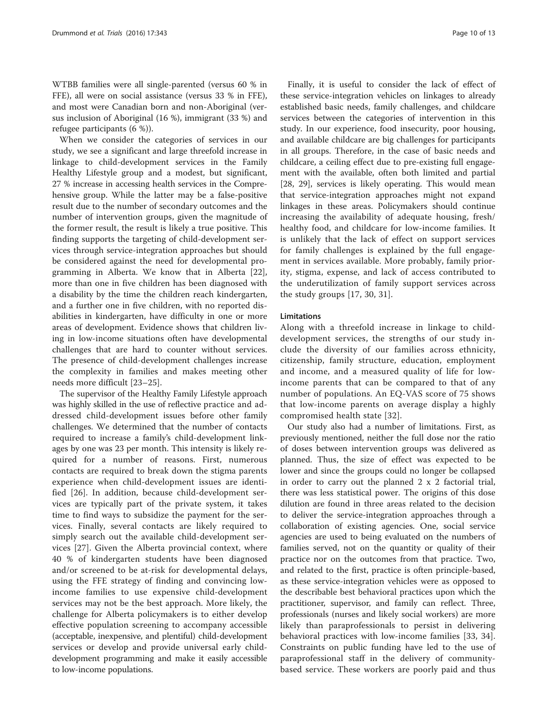WTBB families were all single-parented (versus 60 % in FFE), all were on social assistance (versus 33 % in FFE), and most were Canadian born and non-Aboriginal (versus inclusion of Aboriginal (16 %), immigrant (33 %) and refugee participants (6 %)).

When we consider the categories of services in our study, we see a significant and large threefold increase in linkage to child-development services in the Family Healthy Lifestyle group and a modest, but significant, 27 % increase in accessing health services in the Comprehensive group. While the latter may be a false-positive result due to the number of secondary outcomes and the number of intervention groups, given the magnitude of the former result, the result is likely a true positive. This finding supports the targeting of child-development services through service-integration approaches but should be considered against the need for developmental programming in Alberta. We know that in Alberta [\[22](#page-11-0)], more than one in five children has been diagnosed with a disability by the time the children reach kindergarten, and a further one in five children, with no reported disabilities in kindergarten, have difficulty in one or more areas of development. Evidence shows that children living in low-income situations often have developmental challenges that are hard to counter without services. The presence of child-development challenges increase the complexity in families and makes meeting other needs more difficult [[23](#page-11-0)–[25\]](#page-12-0).

The supervisor of the Healthy Family Lifestyle approach was highly skilled in the use of reflective practice and addressed child-development issues before other family challenges. We determined that the number of contacts required to increase a family's child-development linkages by one was 23 per month. This intensity is likely required for a number of reasons. First, numerous contacts are required to break down the stigma parents experience when child-development issues are identified [[26](#page-12-0)]. In addition, because child-development services are typically part of the private system, it takes time to find ways to subsidize the payment for the services. Finally, several contacts are likely required to simply search out the available child-development services [[27\]](#page-12-0). Given the Alberta provincial context, where 40 % of kindergarten students have been diagnosed and/or screened to be at-risk for developmental delays, using the FFE strategy of finding and convincing lowincome families to use expensive child-development services may not be the best approach. More likely, the challenge for Alberta policymakers is to either develop effective population screening to accompany accessible (acceptable, inexpensive, and plentiful) child-development services or develop and provide universal early childdevelopment programming and make it easily accessible to low-income populations.

Finally, it is useful to consider the lack of effect of these service-integration vehicles on linkages to already established basic needs, family challenges, and childcare services between the categories of intervention in this study. In our experience, food insecurity, poor housing, and available childcare are big challenges for participants in all groups. Therefore, in the case of basic needs and childcare, a ceiling effect due to pre-existing full engagement with the available, often both limited and partial [[28, 29](#page-12-0)], services is likely operating. This would mean that service-integration approaches might not expand linkages in these areas. Policymakers should continue increasing the availability of adequate housing, fresh/ healthy food, and childcare for low-income families. It is unlikely that the lack of effect on support services for family challenges is explained by the full engagement in services available. More probably, family priority, stigma, expense, and lack of access contributed to the underutilization of family support services across the study groups [[17](#page-11-0), [30](#page-12-0), [31\]](#page-12-0).

#### **Limitations**

Along with a threefold increase in linkage to childdevelopment services, the strengths of our study include the diversity of our families across ethnicity, citizenship, family structure, education, employment and income, and a measured quality of life for lowincome parents that can be compared to that of any number of populations. An EQ-VAS score of 75 shows that low-income parents on average display a highly compromised health state [[32](#page-12-0)].

Our study also had a number of limitations. First, as previously mentioned, neither the full dose nor the ratio of doses between intervention groups was delivered as planned. Thus, the size of effect was expected to be lower and since the groups could no longer be collapsed in order to carry out the planned 2 x 2 factorial trial, there was less statistical power. The origins of this dose dilution are found in three areas related to the decision to deliver the service-integration approaches through a collaboration of existing agencies. One, social service agencies are used to being evaluated on the numbers of families served, not on the quantity or quality of their practice nor on the outcomes from that practice. Two, and related to the first, practice is often principle-based, as these service-integration vehicles were as opposed to the describable best behavioral practices upon which the practitioner, supervisor, and family can reflect. Three, professionals (nurses and likely social workers) are more likely than paraprofessionals to persist in delivering behavioral practices with low-income families [[33](#page-12-0), [34](#page-12-0)]. Constraints on public funding have led to the use of paraprofessional staff in the delivery of communitybased service. These workers are poorly paid and thus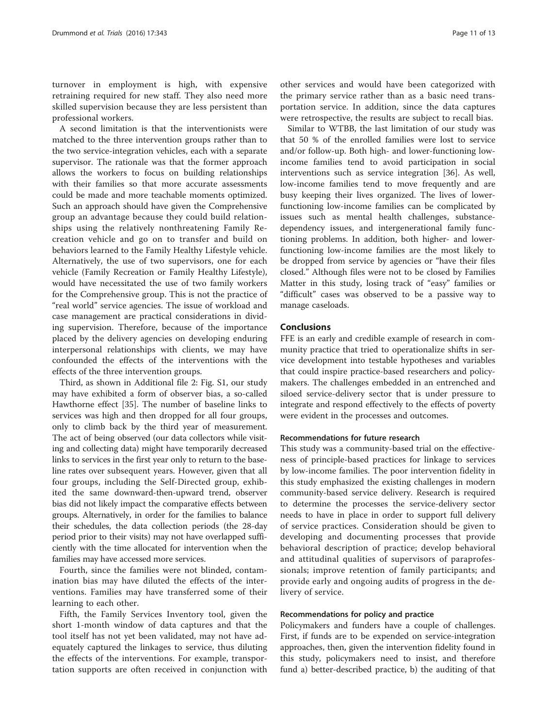turnover in employment is high, with expensive retraining required for new staff. They also need more skilled supervision because they are less persistent than professional workers.

A second limitation is that the interventionists were matched to the three intervention groups rather than to the two service-integration vehicles, each with a separate supervisor. The rationale was that the former approach allows the workers to focus on building relationships with their families so that more accurate assessments could be made and more teachable moments optimized. Such an approach should have given the Comprehensive group an advantage because they could build relationships using the relatively nonthreatening Family Recreation vehicle and go on to transfer and build on behaviors learned to the Family Healthy Lifestyle vehicle. Alternatively, the use of two supervisors, one for each vehicle (Family Recreation or Family Healthy Lifestyle), would have necessitated the use of two family workers for the Comprehensive group. This is not the practice of "real world" service agencies. The issue of workload and case management are practical considerations in dividing supervision. Therefore, because of the importance placed by the delivery agencies on developing enduring interpersonal relationships with clients, we may have confounded the effects of the interventions with the effects of the three intervention groups.

Third, as shown in Additional file [2:](#page-11-0) Fig. S1, our study may have exhibited a form of observer bias, a so-called Hawthorne effect [[35](#page-12-0)]. The number of baseline links to services was high and then dropped for all four groups, only to climb back by the third year of measurement. The act of being observed (our data collectors while visiting and collecting data) might have temporarily decreased links to services in the first year only to return to the baseline rates over subsequent years. However, given that all four groups, including the Self-Directed group, exhibited the same downward-then-upward trend, observer bias did not likely impact the comparative effects between groups. Alternatively, in order for the families to balance their schedules, the data collection periods (the 28-day period prior to their visits) may not have overlapped sufficiently with the time allocated for intervention when the families may have accessed more services.

Fourth, since the families were not blinded, contamination bias may have diluted the effects of the interventions. Families may have transferred some of their learning to each other.

Fifth, the Family Services Inventory tool, given the short 1-month window of data captures and that the tool itself has not yet been validated, may not have adequately captured the linkages to service, thus diluting the effects of the interventions. For example, transportation supports are often received in conjunction with

other services and would have been categorized with the primary service rather than as a basic need transportation service. In addition, since the data captures were retrospective, the results are subject to recall bias.

Similar to WTBB, the last limitation of our study was that 50 % of the enrolled families were lost to service and/or follow-up. Both high- and lower-functioning lowincome families tend to avoid participation in social interventions such as service integration [[36\]](#page-12-0). As well, low-income families tend to move frequently and are busy keeping their lives organized. The lives of lowerfunctioning low-income families can be complicated by issues such as mental health challenges, substancedependency issues, and intergenerational family functioning problems. In addition, both higher- and lowerfunctioning low-income families are the most likely to be dropped from service by agencies or "have their files closed." Although files were not to be closed by Families Matter in this study, losing track of "easy" families or "difficult" cases was observed to be a passive way to manage caseloads.

## Conclusions

FFE is an early and credible example of research in community practice that tried to operationalize shifts in service development into testable hypotheses and variables that could inspire practice-based researchers and policymakers. The challenges embedded in an entrenched and siloed service-delivery sector that is under pressure to integrate and respond effectively to the effects of poverty were evident in the processes and outcomes.

#### Recommendations for future research

This study was a community-based trial on the effectiveness of principle-based practices for linkage to services by low-income families. The poor intervention fidelity in this study emphasized the existing challenges in modern community-based service delivery. Research is required to determine the processes the service-delivery sector needs to have in place in order to support full delivery of service practices. Consideration should be given to developing and documenting processes that provide behavioral description of practice; develop behavioral and attitudinal qualities of supervisors of paraprofessionals; improve retention of family participants; and provide early and ongoing audits of progress in the delivery of service.

#### Recommendations for policy and practice

Policymakers and funders have a couple of challenges. First, if funds are to be expended on service-integration approaches, then, given the intervention fidelity found in this study, policymakers need to insist, and therefore fund a) better-described practice, b) the auditing of that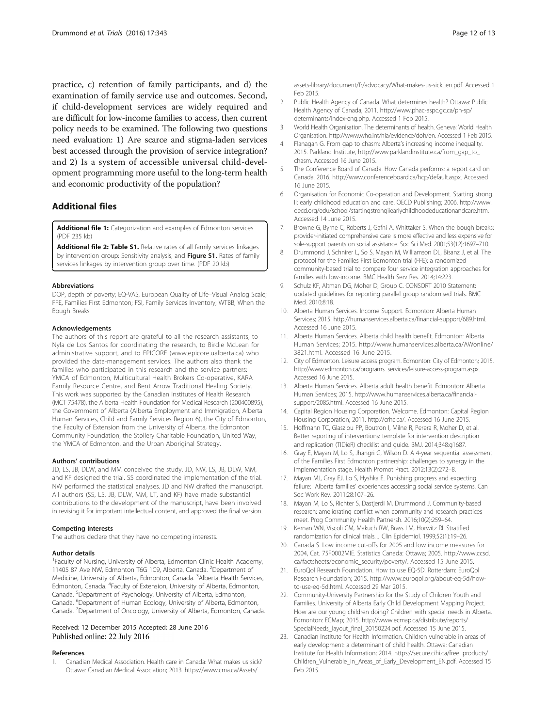<span id="page-11-0"></span>practice, c) retention of family participants, and d) the examination of family service use and outcomes. Second, if child-development services are widely required and are difficult for low-income families to access, then current policy needs to be examined. The following two questions need evaluation: 1) Are scarce and stigma-laden services best accessed through the provision of service integration? and 2) Is a system of accessible universal child-development programming more useful to the long-term health and economic productivity of the population?

# Additional files

[Additional file 1:](dx.doi.org/10.1186/s13063-016-1444-8) Categorization and examples of Edmonton services. (PDF 235 kb)

[Additional file 2: Table S1.](dx.doi.org/10.1186/s13063-016-1444-8) Relative rates of all family services linkages by intervention group: Sensitivity analysis, and Figure S1. Rates of family services linkages by intervention group over time. (PDF 20 kb)

#### Abbreviations

DOP, depth of poverty; EQ-VAS, European Quality of Life–Visual Analog Scale; FFE, Families First Edmonton; FSI, Family Services Inventory; WTBB, When the Bough Breaks

#### Acknowledgements

The authors of this report are grateful to all the research assistants, to Nyla de Los Santos for coordinating the research, to Birdie McLean for administrative support, and to EPICORE [\(www.epicore.ualberta.ca](http://www.epicore.ualberta.ca/)) who provided the data-management services. The authors also thank the families who participated in this research and the service partners: YMCA of Edmonton, Multicultural Health Brokers Co-operative, KARA Family Resource Centre, and Bent Arrow Traditional Healing Society. This work was supported by the Canadian Institutes of Health Research (MCT 75478), the Alberta Health Foundation for Medical Research (200400895), the Government of Alberta (Alberta Employment and Immigration, Alberta Human Services, Child and Family Services Region 6), the City of Edmonton, the Faculty of Extension from the University of Alberta, the Edmonton Community Foundation, the Stollery Charitable Foundation, United Way, the YMCA of Edmonton, and the Urban Aboriginal Strategy.

#### Authors' contributions

JD, LS, JB, DLW, and MM conceived the study. JD, NW, LS, JB, DLW, MM, and KF designed the trial. SS coordinated the implementation of the trial. NW performed the statistical analyses. JD and NW drafted the manuscript. All authors (SS, LS, JB, DLW, MM, LT, and KF) have made substantial contributions to the development of the manuscript, have been involved in revising it for important intellectual content, and approved the final version.

#### Competing interests

The authors declare that they have no competing interests.

#### Author details

<sup>1</sup> Faculty of Nursing, University of Alberta, Edmonton Clinic Health Academy, 11405 87 Ave NW, Edmonton T6G 1C9, Alberta, Canada. <sup>2</sup>Department of Medicine, University of Alberta, Edmonton, Canada. <sup>3</sup>Alberta Health Services, Edmonton, Canada. <sup>4</sup>Faculty of Extension, University of Alberta, Edmonton, Canada. <sup>5</sup>Department of Psychology, University of Alberta, Edmonton, Canada. <sup>6</sup> Department of Human Ecology, University of Alberta, Edmonton, Canada. <sup>7</sup>Department of Oncology, University of Alberta, Edmonton, Canada.

#### Received: 12 December 2015 Accepted: 28 June 2016 Published online: 22 July 2016

#### References

1. Canadian Medical Association. Health care in Canada: What makes us sick? Ottawa: Canadian Medical Association; 2013. [https://www.cma.ca/Assets/](https://www.cma.ca/Assets/assets-library/document/fr/advocacy/What-makes-us-sick_en.pdf)

[assets-library/document/fr/advocacy/What-makes-us-sick\\_en.pdf.](https://www.cma.ca/Assets/assets-library/document/fr/advocacy/What-makes-us-sick_en.pdf) Accessed 1 Feb 2015.

- 2. Public Health Agency of Canada. What determines health? Ottawa: Public Health Agency of Canada; 2011. [http://www.phac-aspc.gc.ca/ph-sp/](http://www.phac-aspc.gc.ca/ph-sp/determinants/index-eng.php) [determinants/index-eng.php](http://www.phac-aspc.gc.ca/ph-sp/determinants/index-eng.php). Accessed 1 Feb 2015.
- 3. World Health Organisation. The determinants of health. Geneva: World Health Organisation. [http://www.who.int/hia/evidence/doh/en.](http://www.who.int/hia/evidence/doh/en) Accessed 1 Feb 2015.
- 4. Flanagan G. From gap to chasm: Alberta's increasing income inequality. 2015. Parkland Institute, [http://www.parklandinstitute.ca/from\\_gap\\_to\\_](http://www.parklandinstitute.ca/from_gap_to_chasm) [chasm](http://www.parklandinstitute.ca/from_gap_to_chasm). Accessed 16 June 2015.
- The Conference Board of Canada. How Canada performs: a report card on Canada. 2016. [http://www.conferenceboard.ca/hcp/default.aspx.](http://www.conferenceboard.ca/hcp/default.aspx) Accessed 16 June 2015.
- 6. Organisation for Economic Co-operation and Development. Starting strong II: early childhood education and care. OECD Publishing; 2006. [http://www.](http://www.oecd.org/edu/school/startingstrongiiearlychildhoodeducationandcare.htm) [oecd.org/edu/school/startingstrongiiearlychildhoodeducationandcare.htm](http://www.oecd.org/edu/school/startingstrongiiearlychildhoodeducationandcare.htm). Accessed 14 June 2015.
- 7. Browne G, Byrne C, Roberts J, Gafni A, Whittaker S. When the bough breaks: provider-initiated comprehensive care is more effective and less expensive for sole-support parents on social assistance. Soc Sci Med. 2001;53(12):1697–710.
- 8. Drummond J, Schnirer L, So S, Mayan M, Williamson DL, Bisanz J, et al. The protocol for the Families First Edmonton trial (FFE): a randomized community-based trial to compare four service integration approaches for families with low-income. BMC Health Serv Res. 2014;14:223.
- Schulz KF, Altman DG, Moher D, Group C. CONSORT 2010 Statement: updated guidelines for reporting parallel group randomised trials. BMC Med. 2010;8:18.
- 10. Alberta Human Services. Income Support. Edmonton: Alberta Human Services; 2015. [http://humanservices.alberta.ca/financial-support/689.html.](http://humanservices.alberta.ca/financial-support/689.html) Accessed 16 June 2015.
- 11. Alberta Human Services. Alberta child health benefit. Edmonton: Alberta Human Services; 2015. [http://www.humanservices.alberta.ca/AWonline/](http://www.humanservices.alberta.ca/AWonline/3821.html) [3821.html](http://www.humanservices.alberta.ca/AWonline/3821.html). Accessed 16 June 2015.
- 12. City of Edmonton. Leisure access program. Edmonton: City of Edmonton; 2015. [http://www.edmonton.ca/programs\\_services/leisure-access-program.aspx](http://www.edmonton.ca/programs_services/leisure-access-program.aspx). Accessed 16 June 2015.
- 13. Alberta Human Services. Alberta adult health benefit. Edmonton: Alberta Human Services; 2015. [http://www.humanservices.alberta.ca/financial](http://www.humanservices.alberta.ca/financial-support/2085.html)[support/2085.html](http://www.humanservices.alberta.ca/financial-support/2085.html). Accessed 16 June 2015.
- 14. Capital Region Housing Corporation. Welcome. Edmonton: Capital Region Housing Corporation; 2011. [http://crhc.ca/.](http://crhc.ca/) Accessed 16 June 2015.
- 15. Hoffmann TC, Glasziou PP, Boutron I, Milne R, Perera R, Moher D, et al. Better reporting of interventions: template for intervention description and replication (TIDieR) checklist and guide. BMJ. 2014;348:g1687.
- 16. Gray E, Mayan M, Lo S, Jhangri G, Wilson D. A 4-year sequential assessment of the Families First Edmonton partnership: challenges to synergy in the implementation stage. Health Promot Pract. 2012;13(2):272–8.
- 17. Mayan MJ, Gray EJ, Lo S, Hyshka E. Punishing progress and expecting failure: Alberta families' experiences accessing social service systems. Can Soc Work Rev. 2011;28:107–26.
- 18. Mayan M, Lo S, Richter S, Dastjerdi M, Drummond J. Community-based research: ameliorating conflict when community and research practices meet. Prog Community Health Partnersh. 2016;10(2):259–64.
- 19. Kernan WN, Viscoli CM, Makuch RW, Brass LM, Horwitz RI. Stratified randomization for clinical trials. J Clin Epidemiol. 1999;52(1):19–26.
- 20. Canada S. Low income cut-offs for 2005 and low income measures for 2004, Cat. 75F0002MIE. Statistics Canada: Ottawa; 2005. [http://www.ccsd.](http://www.ccsd.ca/factsheets/economic_security/poverty/) [ca/factsheets/economic\\_security/poverty/.](http://www.ccsd.ca/factsheets/economic_security/poverty/) Accessed 15 June 2015.
- 21. EuroQol Research Foundation. How to use EQ-5D. Rotterdam: EuroQol Research Foundation; 2015. [http://www.euroqol.org/about-eq-5d/how](http://www.euroqol.org/about-eq-5d/how-to-use-eq-5d.html)[to-use-eq-5d.html](http://www.euroqol.org/about-eq-5d/how-to-use-eq-5d.html). Accessed 29 Mar 2015.
- 22. Community-University Partnership for the Study of Children Youth and Families. University of Alberta Early Child Development Mapping Project. How are our young children doing? Children with special needs in Alberta. Edmonton: ECMap; 2015. [http://www.ecmap.ca/distribute/reports/](http://www.ecmap.ca/distribute/reports/SpecialNeeds_layout_final_20150224.pdf) [SpecialNeeds\\_layout\\_final\\_20150224.pdf](http://www.ecmap.ca/distribute/reports/SpecialNeeds_layout_final_20150224.pdf). Accessed 15 June 2015.
- 23. Canadian Institute for Health Information. Children vulnerable in areas of early development: a determinant of child health. Ottawa: Canadian Institute for Health Information; 2014. [https://secure.cihi.ca/free\\_products/](https://secure.cihi.ca/free_products/Children_Vulnerable_in_Areas_of_Early_Development_EN.pdf) [Children\\_Vulnerable\\_in\\_Areas\\_of\\_Early\\_Development\\_EN.pdf](https://secure.cihi.ca/free_products/Children_Vulnerable_in_Areas_of_Early_Development_EN.pdf). Accessed 15 Feb 2015.